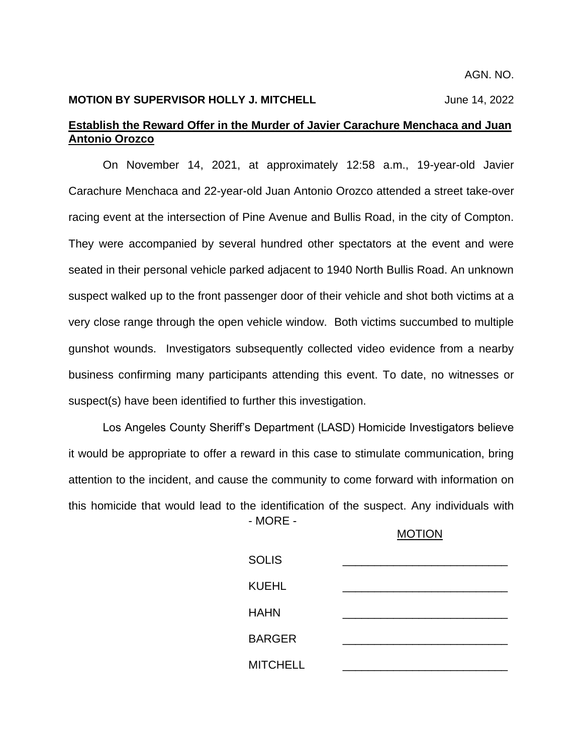AGN. NO.

# **MOTION BY SUPERVISOR HOLLY J. MITCHELL** June 14, 2022

# **Establish the Reward Offer in the Murder of Javier Carachure Menchaca and Juan Antonio Orozco**

On November 14, 2021, at approximately 12:58 a.m., 19-year-old Javier Carachure Menchaca and 22-year-old Juan Antonio Orozco attended a street take-over racing event at the intersection of Pine Avenue and Bullis Road, in the city of Compton. They were accompanied by several hundred other spectators at the event and were seated in their personal vehicle parked adjacent to 1940 North Bullis Road. An unknown suspect walked up to the front passenger door of their vehicle and shot both victims at a very close range through the open vehicle window. Both victims succumbed to multiple gunshot wounds. Investigators subsequently collected video evidence from a nearby business confirming many participants attending this event. To date, no witnesses or suspect(s) have been identified to further this investigation.

- MORE - Los Angeles County Sheriff's Department (LASD) Homicide Investigators believe it would be appropriate to offer a reward in this case to stimulate communication, bring attention to the incident, and cause the community to come forward with information on this homicide that would lead to the identification of the suspect. Any individuals with

#### MOTION

| <b>SOLIS</b>    |  |
|-----------------|--|
| <b>KUEHL</b>    |  |
| <b>HAHN</b>     |  |
| <b>BARGER</b>   |  |
| <b>MITCHELL</b> |  |